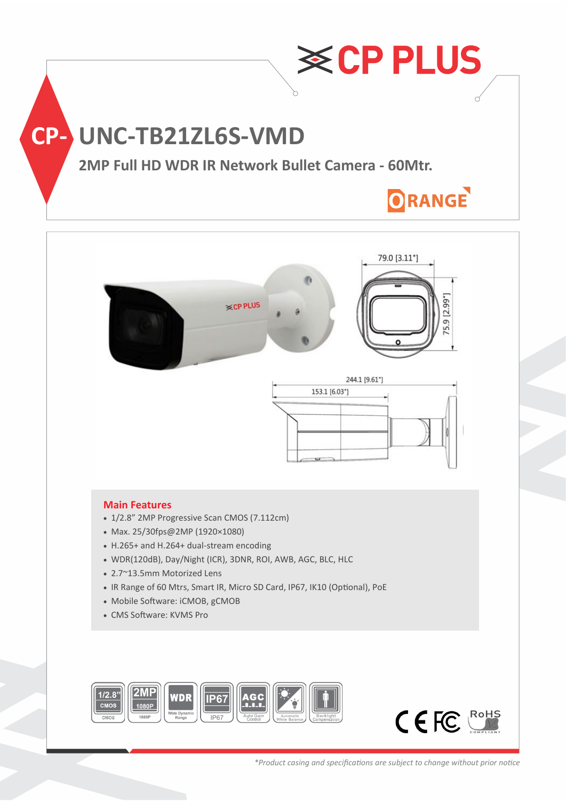



### **Main Features**

- 1/2.8" 2MP Progressive Scan CMOS (7.112cm)
- Max. 25/30fps@2MP (1920×1080)
- H.265+ and H.264+ dual-stream encoding
- WDR(120dB), Day/Night (ICR), 3DNR, ROI, AWB, AGC, BLC, HLC
- 2.7~13.5mm Motorized Lens
- IR Range of 60 Mtrs, Smart IR, Micro SD Card, IP67, IK10 (Optional), PoE

**ECP PLUS** 

- Mobile Software: iCMOB, gCMOB
- CMS Software: KVMS Pro





5.9 [2.99"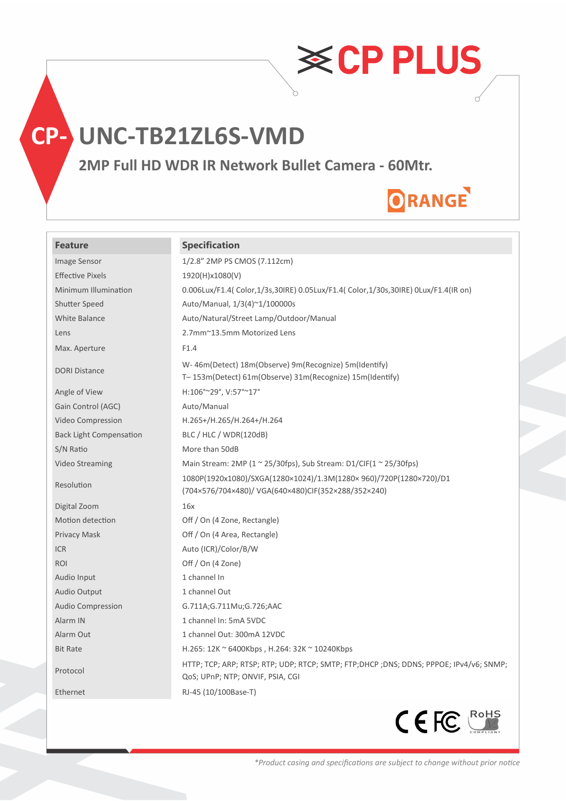

## **CP- UNC-TB21ZL6S-VMD**

**2MP Full HD WDR IR Network Bullet Camera - 60Mtr.**

# ORANGE

**≋CPPLUS** 

### **Feature Specification**

| <b>Image Sensor</b>            | 1/2.8" 2MP PS CMOS (7.112cm)                                                                                               |
|--------------------------------|----------------------------------------------------------------------------------------------------------------------------|
| <b>Effective Pixels</b>        | 1920(H)x1080(V)                                                                                                            |
| Minimum Illumination           | 0.006Lux/F1.4(Color,1/3s,30IRE) 0.05Lux/F1.4(Color,1/30s,30IRE) 0Lux/F1.4(IR on)                                           |
| Shutter Speed                  | Auto/Manual, 1/3(4)~1/100000s                                                                                              |
| <b>White Balance</b>           | Auto/Natural/Street Lamp/Outdoor/Manual                                                                                    |
| Lens                           | 2.7mm~13.5mm Motorized Lens                                                                                                |
| Max. Aperture                  | F1.4                                                                                                                       |
| <b>DORI Distance</b>           | W-46m(Detect) 18m(Observe) 9m(Recognize) 5m(Identify)<br>T-153m(Detect) 61m(Observe) 31m(Recognize) 15m(Identify)          |
| Angle of View                  | H:106°~29°, V:57°~17°                                                                                                      |
| Gain Control (AGC)             | Auto/Manual                                                                                                                |
| Video Compression              | H.265+/H.265/H.264+/H.264                                                                                                  |
| <b>Back Light Compensation</b> | BLC / HLC / WDR(120dB)                                                                                                     |
| S/N Ratio                      | More than 50dB                                                                                                             |
| Video Streaming                | Main Stream: 2MP (1 $\approx$ 25/30fps), Sub Stream: D1/CIF(1 $\approx$ 25/30fps)                                          |
| Resolution                     | 1080P(1920x1080)/SXGA(1280×1024)/1.3M(1280×960)/720P(1280×720)/D1<br>(704×576/704×480)/ VGA(640×480)CIF(352×288/352×240)   |
| Digital Zoom                   | 16x                                                                                                                        |
| Motion detection               | Off / On (4 Zone, Rectangle)                                                                                               |
| Privacy Mask                   | Off / On (4 Area, Rectangle)                                                                                               |
| <b>ICR</b>                     | Auto (ICR)/Color/B/W                                                                                                       |
| ROI                            | Off / On (4 Zone)                                                                                                          |
| Audio Input                    | 1 channel In                                                                                                               |
| Audio Output                   | 1 channel Out                                                                                                              |
| Audio Compression              | G.711A;G.711Mu;G.726;AAC                                                                                                   |
| Alarm IN                       | 1 channel In: 5mA 5VDC                                                                                                     |
| Alarm Out                      | 1 channel Out: 300mA 12VDC                                                                                                 |
| <b>Bit Rate</b>                | H.265: 12K ~ 6400Kbps, H.264: 32K ~ 10240Kbps                                                                              |
| Protocol                       | HTTP; TCP; ARP; RTSP; RTP; UDP; RTCP; SMTP; FTP;DHCP ;DNS; DDNS; PPPOE; IPv4/v6; SNMP;<br>QoS; UPnP; NTP; ONVIF, PSIA, CGI |
| Ethernet                       | RJ-45 (10/100Base-T)                                                                                                       |